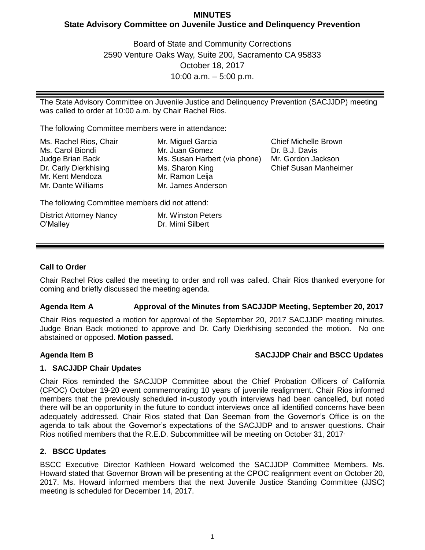# **MINUTES State Advisory Committee on Juvenile Justice and Delinquency Prevention**

Board of State and Community Corrections 2590 Venture Oaks Way, Suite 200, Sacramento CA 95833 October 18, 2017 10:00 a.m. – 5:00 p.m.

The State Advisory Committee on Juvenile Justice and Delinquency Prevention (SACJJDP) meeting was called to order at 10:00 a.m. by Chair Rachel Rios.

The following Committee members were in attendance:

| Ms. Rachel Rios, Chair | Mr. Miguel Garcia             | Chief   |
|------------------------|-------------------------------|---------|
| Ms. Carol Biondi       | Mr. Juan Gomez                | Dr. B., |
| Judge Brian Back       | Ms. Susan Harbert (via phone) | Mr. Go  |
| Dr. Carly Dierkhising  | Ms. Sharon King               | Chief   |
| Mr. Kent Mendoza       | Mr. Ramon Leija               |         |
| Mr. Dante Williams     | Mr. James Anderson            |         |

Michelle Brown J. Davis ordon Jackson Susan Manheimer

The following Committee members did not attend:

| <b>District Attorney Nancy</b> | Mr. Winston Peters |
|--------------------------------|--------------------|
| O'Malley                       | Dr. Mimi Silbert   |

## **Call to Order**

Chair Rachel Rios called the meeting to order and roll was called. Chair Rios thanked everyone for coming and briefly discussed the meeting agenda.

## **Agenda Item A Approval of the Minutes from SACJJDP Meeting, September 20, 2017**

Chair Rios requested a motion for approval of the September 20, 2017 SACJJDP meeting minutes. Judge Brian Back motioned to approve and Dr. Carly Dierkhising seconded the motion. No one abstained or opposed. **Motion passed.**

## **Agenda Item B SACJJDP Chair and BSCC Updates**

## **1. SACJJDP Chair Updates**

Chair Rios reminded the SACJJDP Committee about the Chief Probation Officers of California (CPOC) October 19-20 event commemorating 10 years of juvenile realignment. Chair Rios informed members that the previously scheduled in-custody youth interviews had been cancelled, but noted there will be an opportunity in the future to conduct interviews once all identified concerns have been adequately addressed. Chair Rios stated that Dan Seeman from the Governor's Office is on the agenda to talk about the Governor's expectations of the SACJJDP and to answer questions. Chair Rios notified members that the R.E.D. Subcommittee will be meeting on October 31, 2017

## **2. BSCC Updates**

BSCC Executive Director Kathleen Howard welcomed the SACJJDP Committee Members. Ms. Howard stated that Governor Brown will be presenting at the CPOC realignment event on October 20, 2017. Ms. Howard informed members that the next Juvenile Justice Standing Committee (JJSC) meeting is scheduled for December 14, 2017.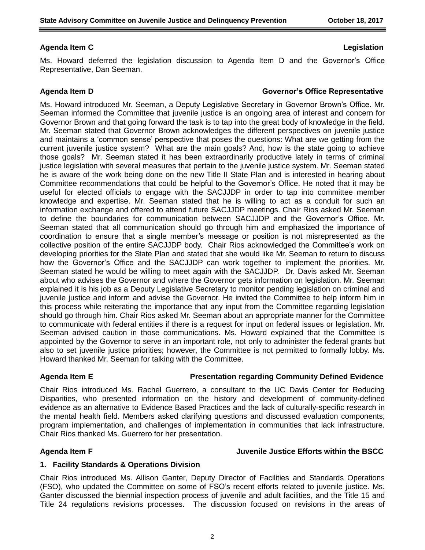## **Agenda Item C Legislation**

Ms. Howard deferred the legislation discussion to Agenda Item D and the Governor's Office Representative, Dan Seeman.

### **Agenda Item D Governor's Office Representative**

Ms. Howard introduced Mr. Seeman, a Deputy Legislative Secretary in Governor Brown's Office. Mr. Seeman informed the Committee that juvenile justice is an ongoing area of interest and concern for Governor Brown and that going forward the task is to tap into the great body of knowledge in the field. Mr. Seeman stated that Governor Brown acknowledges the different perspectives on juvenile justice and maintains a 'common sense' perspective that poses the questions: What are we getting from the current juvenile justice system? What are the main goals? And, how is the state going to achieve those goals? Mr. Seeman stated it has been extraordinarily productive lately in terms of criminal justice legislation with several measures that pertain to the juvenile justice system. Mr. Seeman stated he is aware of the work being done on the new Title II State Plan and is interested in hearing about Committee recommendations that could be helpful to the Governor's Office. He noted that it may be useful for elected officials to engage with the SACJJDP in order to tap into committee member knowledge and expertise. Mr. Seeman stated that he is willing to act as a conduit for such an information exchange and offered to attend future SACJJDP meetings. Chair Rios asked Mr. Seeman to define the boundaries for communication between SACJJDP and the Governor's Office. Mr. Seeman stated that all communication should go through him and emphasized the importance of coordination to ensure that a single member's message or position is not misrepresented as the collective position of the entire SACJJDP body. Chair Rios acknowledged the Committee's work on developing priorities for the State Plan and stated that she would like Mr. Seeman to return to discuss how the Governor's Office and the SACJJDP can work together to implement the priorities. Mr. Seeman stated he would be willing to meet again with the SACJJDP. Dr. Davis asked Mr. Seeman about who advises the Governor and where the Governor gets information on legislation. Mr. Seeman explained it is his job as a Deputy Legislative Secretary to monitor pending legislation on criminal and juvenile justice and inform and advise the Governor. He invited the Committee to help inform him in this process while reiterating the importance that any input from the Committee regarding legislation should go through him. Chair Rios asked Mr. Seeman about an appropriate manner for the Committee to communicate with federal entities if there is a request for input on federal issues or legislation. Mr. Seeman advised caution in those communications. Ms. Howard explained that the Committee is appointed by the Governor to serve in an important role, not only to administer the federal grants but also to set juvenile justice priorities; however, the Committee is not permitted to formally lobby. Ms. Howard thanked Mr. Seeman for talking with the Committee.

## **Agenda Item E Presentation regarding Community Defined Evidence**

Chair Rios introduced Ms. Rachel Guerrero, a consultant to the UC Davis Center for Reducing Disparities, who presented information on the history and development of community-defined evidence as an alternative to Evidence Based Practices and the lack of culturally-specific research in the mental health field. Members asked clarifying questions and discussed evaluation components, program implementation, and challenges of implementation in communities that lack infrastructure. Chair Rios thanked Ms. Guerrero for her presentation.

### **Agenda Item F Juvenile Justice Efforts within the BSCC**

### **1. Facility Standards & Operations Division**

Chair Rios introduced Ms. Allison Ganter, Deputy Director of Facilities and Standards Operations (FSO), who updated the Committee on some of FSO's recent efforts related to juvenile justice. Ms. Ganter discussed the biennial inspection process of juvenile and adult facilities, and the Title 15 and Title 24 regulations revisions processes. The discussion focused on revisions in the areas of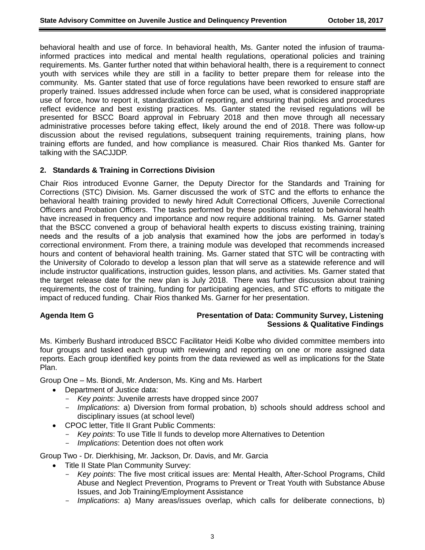behavioral health and use of force. In behavioral health, Ms. Ganter noted the infusion of traumainformed practices into medical and mental health regulations, operational policies and training requirements. Ms. Ganter further noted that within behavioral health, there is a requirement to connect youth with services while they are still in a facility to better prepare them for release into the community. Ms. Ganter stated that use of force regulations have been reworked to ensure staff are properly trained. Issues addressed include when force can be used, what is considered inappropriate use of force, how to report it, standardization of reporting, and ensuring that policies and procedures reflect evidence and best existing practices. Ms. Ganter stated the revised regulations will be presented for BSCC Board approval in February 2018 and then move through all necessary administrative processes before taking effect, likely around the end of 2018. There was follow-up discussion about the revised regulations, subsequent training requirements, training plans, how training efforts are funded, and how compliance is measured. Chair Rios thanked Ms. Ganter for talking with the SACJJDP.

### **2. Standards & Training in Corrections Division**

Chair Rios introduced Evonne Garner, the Deputy Director for the Standards and Training for Corrections (STC) Division. Ms. Garner discussed the work of STC and the efforts to enhance the behavioral health training provided to newly hired Adult Correctional Officers, Juvenile Correctional Officers and Probation Officers. The tasks performed by these positions related to behavioral health have increased in frequency and importance and now require additional training. Ms. Garner stated that the BSCC convened a group of behavioral health experts to discuss existing training, training needs and the results of a job analysis that examined how the jobs are performed in today's correctional environment. From there, a training module was developed that recommends increased hours and content of behavioral health training. Ms. Garner stated that STC will be contracting with the University of Colorado to develop a lesson plan that will serve as a statewide reference and will include instructor qualifications, instruction guides, lesson plans, and activities. Ms. Garner stated that the target release date for the new plan is July 2018. There was further discussion about training requirements, the cost of training, funding for participating agencies, and STC efforts to mitigate the impact of reduced funding. Chair Rios thanked Ms. Garner for her presentation.

### **Agenda Item G Presentation of Data: Community Survey, Listening Sessions & Qualitative Findings**

Ms. Kimberly Bushard introduced BSCC Facilitator Heidi Kolbe who divided committee members into four groups and tasked each group with reviewing and reporting on one or more assigned data reports. Each group identified key points from the data reviewed as well as implications for the State Plan.

Group One – Ms. Biondi, Mr. Anderson, Ms. King and Ms. Harbert

- Department of Justice data:
	- *Key points*: Juvenile arrests have dropped since 2007
	- *Implications*: a) Diversion from formal probation, b) schools should address school and disciplinary issues (at school level)
- CPOC letter, Title II Grant Public Comments:
	- *Key points*: To use Title II funds to develop more Alternatives to Detention
	- *Implications*: Detention does not often work

Group Two - Dr. Dierkhising, Mr. Jackson, Dr. Davis, and Mr. Garcia

- Title II State Plan Community Survey:
	- *Key points*: The five most critical issues are: Mental Health, After-School Programs, Child Abuse and Neglect Prevention, Programs to Prevent or Treat Youth with Substance Abuse Issues, and Job Training/Employment Assistance
	- *Implications*: a) Many areas/issues overlap, which calls for deliberate connections, b)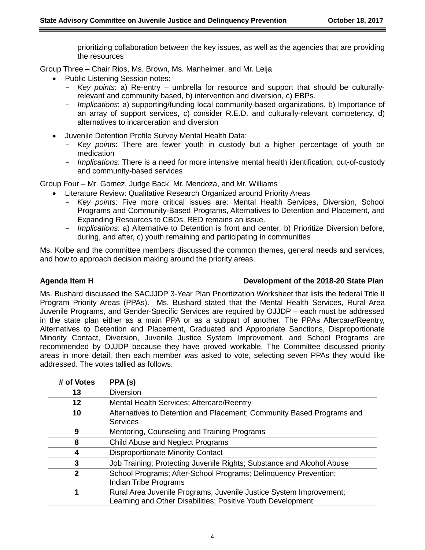prioritizing collaboration between the key issues, as well as the agencies that are providing the resources

Group Three – Chair Rios, Ms. Brown, Ms. Manheimer, and Mr. Leija

- Public Listening Session notes:
	- *Key points*: a) Re-entry umbrella for resource and support that should be culturallyrelevant and community based, b) intervention and diversion, c) EBPs.
	- *Implications*: a) supporting/funding local community-based organizations, b) Importance of an array of support services, c) consider R.E.D. and culturally-relevant competency, d) alternatives to incarceration and diversion
	- Juvenile Detention Profile Survey Mental Health Data:
		- *Key points*: There are fewer youth in custody but a higher percentage of youth on medication
		- *Implications*: There is a need for more intensive mental health identification, out-of-custody and community-based services

Group Four – Mr. Gomez, Judge Back, Mr. Mendoza, and Mr. Williams

- Literature Review: Qualitative Research Organized around Priority Areas
	- *Key points*: Five more critical issues are: Mental Health Services, Diversion, School Programs and Community-Based Programs, Alternatives to Detention and Placement, and Expanding Resources to CBOs. RED remains an issue.
	- *Implications*: a) Alternative to Detention is front and center, b) Prioritize Diversion before, during, and after, c) youth remaining and participating in communities

Ms. Kolbe and the committee members discussed the common themes, general needs and services, and how to approach decision making around the priority areas.

## **Agenda Item H Development of the 2018-20 State Plan**

Ms. Bushard discussed the SACJJDP 3-Year Plan Prioritization Worksheet that lists the federal Title II Program Priority Areas (PPAs). Ms. Bushard stated that the Mental Health Services, Rural Area Juvenile Programs, and Gender-Specific Services are required by OJJDP – each must be addressed in the state plan either as a main PPA or as a subpart of another. The PPAs Aftercare/Reentry, Alternatives to Detention and Placement, Graduated and Appropriate Sanctions, Disproportionate Minority Contact, Diversion, Juvenile Justice System Improvement, and School Programs are recommended by OJJDP because they have proved workable. The Committee discussed priority areas in more detail, then each member was asked to vote, selecting seven PPAs they would like addressed. The votes tallied as follows.

| # of Votes | PPA (s)                                                                                                                           |
|------------|-----------------------------------------------------------------------------------------------------------------------------------|
| 13         | <b>Diversion</b>                                                                                                                  |
| 12         | Mental Health Services; Aftercare/Reentry                                                                                         |
| 10         | Alternatives to Detention and Placement; Community Based Programs and<br><b>Services</b>                                          |
| 9          | Mentoring, Counseling and Training Programs                                                                                       |
| 8          | Child Abuse and Neglect Programs                                                                                                  |
| 4          | <b>Disproportionate Minority Contact</b>                                                                                          |
| 3          | Job Training; Protecting Juvenile Rights; Substance and Alcohol Abuse                                                             |
| 2          | School Programs; After-School Programs; Delinquency Prevention;<br>Indian Tribe Programs                                          |
| 1          | Rural Area Juvenile Programs; Juvenile Justice System Improvement;<br>Learning and Other Disabilities; Positive Youth Development |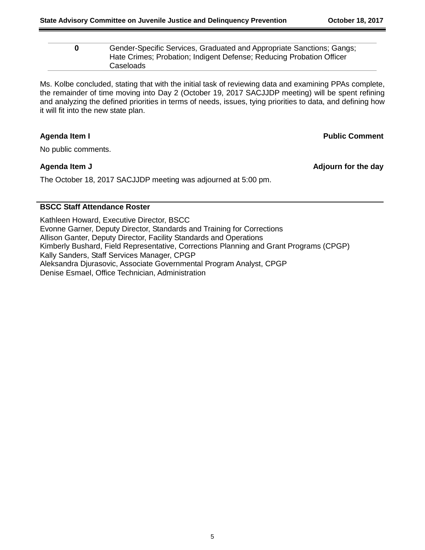| 0 | Gender-Specific Services, Graduated and Appropriate Sanctions; Gangs; |
|---|-----------------------------------------------------------------------|
|   | Hate Crimes; Probation; Indigent Defense; Reducing Probation Officer  |
|   | Caseloads                                                             |

Ms. Kolbe concluded, stating that with the initial task of reviewing data and examining PPAs complete, the remainder of time moving into Day 2 (October 19, 2017 SACJJDP meeting) will be spent refining and analyzing the defined priorities in terms of needs, issues, tying priorities to data, and defining how it will fit into the new state plan.

**Agenda Item I Public Comment**

No public comments.

The October 18, 2017 SACJJDP meeting was adjourned at 5:00 pm.

**Agenda Item J Adjourn for the day**

### **BSCC Staff Attendance Roster**

Kathleen Howard, Executive Director, BSCC Evonne Garner, Deputy Director, Standards and Training for Corrections Allison Ganter, Deputy Director, Facility Standards and Operations Kimberly Bushard, Field Representative, Corrections Planning and Grant Programs (CPGP) Kally Sanders, Staff Services Manager, CPGP Aleksandra Djurasovic, Associate Governmental Program Analyst, CPGP Denise Esmael, Office Technician, Administration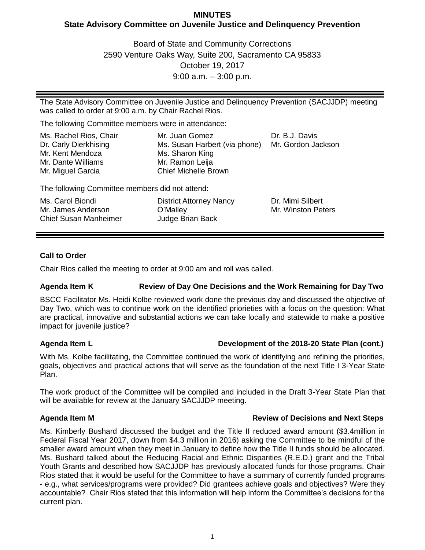# **MINUTES State Advisory Committee on Juvenile Justice and Delinquency Prevention**

Board of State and Community Corrections 2590 Venture Oaks Way, Suite 200, Sacramento CA 95833 October 19, 2017 9:00 a.m. – 3:00 p.m.

The State Advisory Committee on Juvenile Justice and Delinquency Prevention (SACJJDP) meeting was called to order at 9:00 a.m. by Chair Rachel Rios.

The following Committee members were in attendance:

| Ms. Rachel Rios, Chair<br>Dr. Carly Dierkhising<br>Mr. Kent Mendoza | Mr. Juan Gomez<br>Ms. Susan Harbert (via phone)<br>Ms. Sharon King | Dr. B.J. Davis<br>Mr. Gordon Jackson |
|---------------------------------------------------------------------|--------------------------------------------------------------------|--------------------------------------|
| Mr. Dante Williams                                                  | Mr. Ramon Leija                                                    |                                      |
| Mr. Miguel Garcia                                                   | <b>Chief Michelle Brown</b>                                        |                                      |

The following Committee members did not attend:

| Ms. Carol Biondi             | <b>District Attorney Nancy</b> | Dr. Mimi Silbert   |
|------------------------------|--------------------------------|--------------------|
| Mr. James Anderson           | O'Malley                       | Mr. Winston Peters |
| <b>Chief Susan Manheimer</b> | Judge Brian Back               |                    |

## **Call to Order**

Chair Rios called the meeting to order at 9:00 am and roll was called.

## **Agenda Item K Review of Day One Decisions and the Work Remaining for Day Two**

BSCC Facilitator Ms. Heidi Kolbe reviewed work done the previous day and discussed the objective of Day Two, which was to continue work on the identified priorieties with a focus on the question: What are practical, innovative and substantial actions we can take locally and statewide to make a positive impact for juvenile justice?

## **Agenda Item L Development of the 2018-20 State Plan (cont.)**

With Ms. Kolbe facilitating, the Committee continued the work of identifying and refining the priorities, goals, objectives and practical actions that will serve as the foundation of the next Title I 3-Year State Plan.

The work product of the Committee will be compiled and included in the Draft 3-Year State Plan that will be available for review at the January SACJJDP meeting.

## **Agenda Item M Review of Decisions and Next Steps**

Ms. Kimberly Bushard discussed the budget and the Title II reduced award amount (\$3.4million in Federal Fiscal Year 2017, down from \$4.3 million in 2016) asking the Committee to be mindful of the smaller award amount when they meet in January to define how the Title II funds should be allocated. Ms. Bushard talked about the Reducing Racial and Ethnic Disparities (R.E.D.) grant and the Tribal Youth Grants and described how SACJJDP has previously allocated funds for those programs. Chair Rios stated that it would be useful for the Committee to have a summary of currently funded programs - e.g., what services/programs were provided? Did grantees achieve goals and objectives? Were they accountable? Chair Rios stated that this information will help inform the Committee's decisions for the current plan.